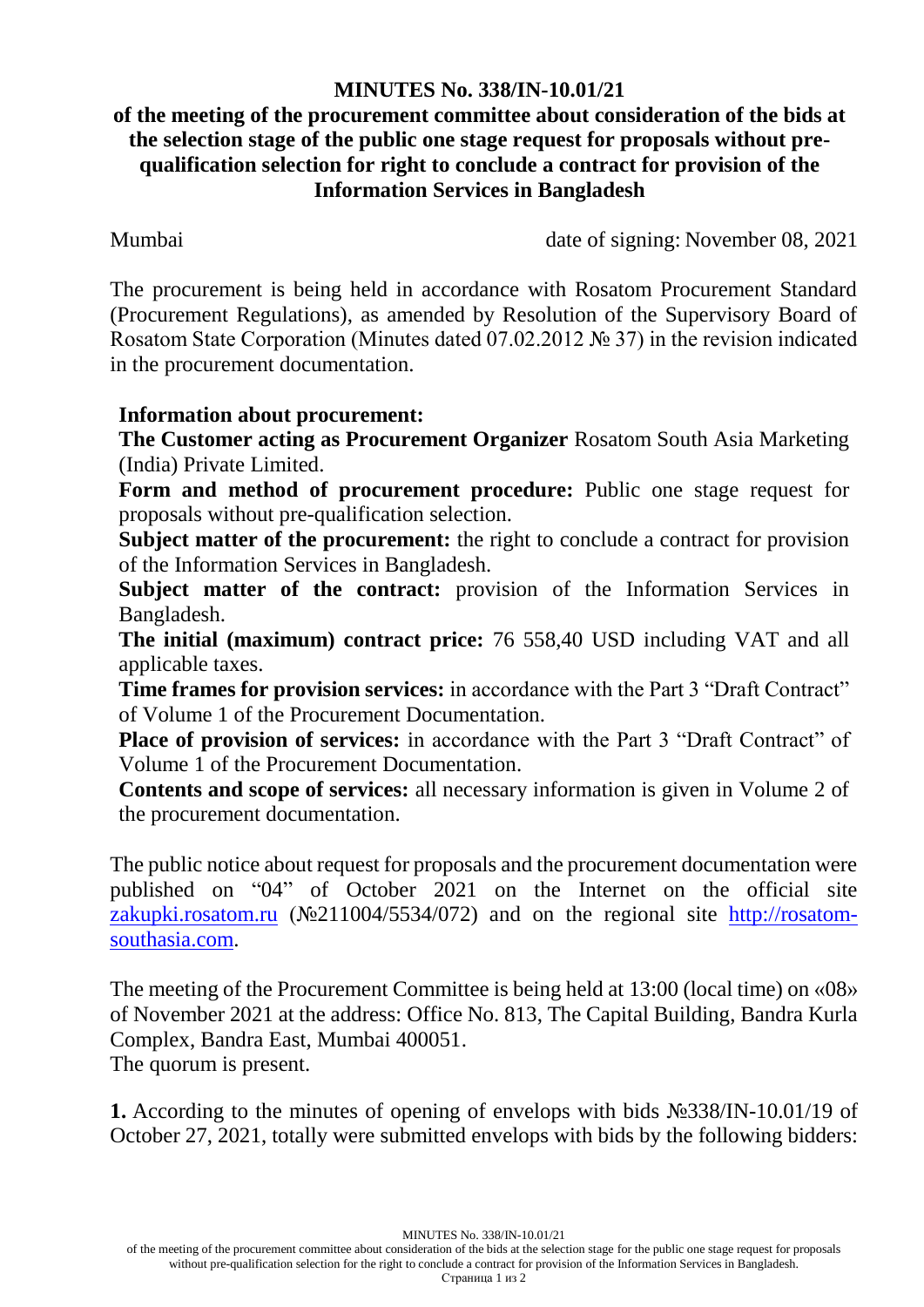## **MINUTES No. 338/IN-10.01/21**

## **of the meeting of the procurement committee about consideration of the bids at the selection stage of the public one stage request for proposals without prequalification selection for right to conclude a contract for provision of the Information Services in Bangladesh**

Mumbai date of signing: November 08, 2021

The procurement is being held in accordance with Rosatom Procurement Standard (Procurement Regulations), as amended by Resolution of the Supervisory Board of Rosatom State Corporation (Minutes dated 07.02.2012 № 37) in the revision indicated in the procurement documentation.

## **Information about procurement:**

**The Customer acting as Procurement Organizer** Rosatom South Asia Marketing (India) Private Limited.

**Form and method of procurement procedure:** Public one stage request for proposals without pre-qualification selection.

**Subject matter of the procurement:** the right to conclude a contract for provision of the Information Services in Bangladesh.

**Subject matter of the contract:** provision of the Information Services in Bangladesh.

**The initial (maximum) contract price:** 76 558,40 USD including VAT and all applicable taxes.

**Time frames for provision services:** in accordance with the Part 3 "Draft Contract" of Volume 1 of the Procurement Documentation.

**Place of provision of services:** in accordance with the Part 3 "Draft Contract" of Volume 1 of the Procurement Documentation.

**Contents and scope of services:** all necessary information is given in Volume 2 of the procurement documentation.

The public notice about request for proposals and the procurement documentation were published on "04" of October 2021 on the Internet on the official site [zakupki.rosatom.ru](http://zakupki.rosatom.ru/) (№211004/5534/072) and on the regional site http://rosatomsouthasia.com.

The meeting of the Procurement Committee is being held at 13:00 (local time) on «08» of November 2021 at the address: Office No. 813, The Capital Building, Bandra Kurla Complex, Bandra East, Mumbai 400051.

The quorum is present.

**1.** According to the minutes of opening of envelops with bids №338/IN-10.01/19 of October 27, 2021, totally were submitted envelops with bids by the following bidders:

MINUTES No. 338/IN-10.01/21